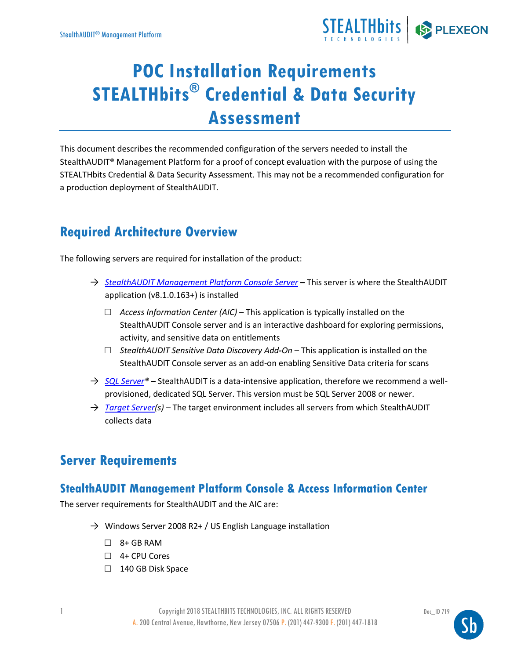

# **POC Installation Requirements STEALTHbits® Credential & Data Security Assessment**

This document describes the recommended configuration of the servers needed to install the StealthAUDIT® Management Platform for a proof of concept evaluation with the purpose of using the STEALTHbits Credential & Data Security Assessment. This may not be a recommended configuration for a production deployment of StealthAUDIT.

# **Required Architecture Overview**

The following servers are required for installation of the product:

- → *[StealthAUDIT Management Platform Console Server](#page-0-0)* **–** This server is where the StealthAUDIT application (v8.1.0.163+) is installed
	- □ *Access Information Center (AIC)* This application is typically installed on the StealthAUDIT Console server and is an interactive dashboard for exploring permissions, activity, and sensitive data on entitlements
	- □ *StealthAUDIT Sensitive Data Discovery Add-On* This application is installed on the StealthAUDIT Console server as an add-on enabling Sensitive Data criteria for scans
- → *[SQL Server®](#page-1-0)* **–** StealthAUDIT is a data-intensive application, therefore we recommend a wellprovisioned, dedicated SQL Server. This version must be SQL Server 2008 or newer.
- → *[Target Server\(](#page-2-0)s)* The target environment includes all servers from which StealthAUDIT collects data

## **Server Requirements**

### <span id="page-0-0"></span>**StealthAUDIT Management Platform Console & Access Information Center**

The server requirements for StealthAUDIT and the AIC are:

- $\rightarrow$  Windows Server 2008 R2+ / US English Language installation
	- $\Box$  8+ GB RAM
	- □ 4+ CPU Cores
	- □ 140 GB Disk Space

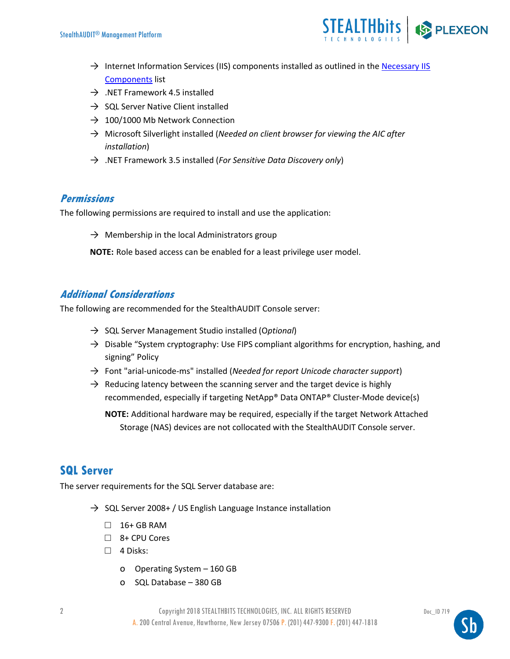

- $\rightarrow$  Internet Information Services (IIS) components installed as outlined in the Necessary IIS [Components](#page-5-0) list
- $\rightarrow$  .NET Framework 4.5 installed
- $\rightarrow$  SQL Server Native Client installed
- $\rightarrow$  100/1000 Mb Network Connection
- → Microsoft Silverlight installed (*Needed on client browser for viewing the AIC after installation*)
- → .NET Framework 3.5 installed (*For Sensitive Data Discovery only*)

#### **Permissions**

The following permissions are required to install and use the application:

 $\rightarrow$  Membership in the local Administrators group

**NOTE:** Role based access can be enabled for a least privilege user model.

#### **Additional Considerations**

The following are recommended for the StealthAUDIT Console server:

- → SQL Server Management Studio installed (O*ptional*)
- $\rightarrow$  Disable "System cryptography: Use FIPS compliant algorithms for encryption, hashing, and signing" Policy
- → Font "arial-unicode-ms" installed (*Needed for report Unicode character support*)
- $\rightarrow$  Reducing latency between the scanning server and the target device is highly recommended, especially if targeting NetApp® Data ONTAP® Cluster-Mode device(s)

**NOTE:** Additional hardware may be required, especially if the target Network Attached Storage (NAS) devices are not collocated with the StealthAUDIT Console server.

### <span id="page-1-0"></span>**SQL Server**

The server requirements for the SQL Server database are:

- $\rightarrow$  SQL Server 2008+ / US English Language Instance installation
	- $\Box$  16+ GB RAM
	- □ 8+ CPU Cores
	- □ 4 Disks:
		- o Operating System 160 GB
		- o SQL Database 380 GB

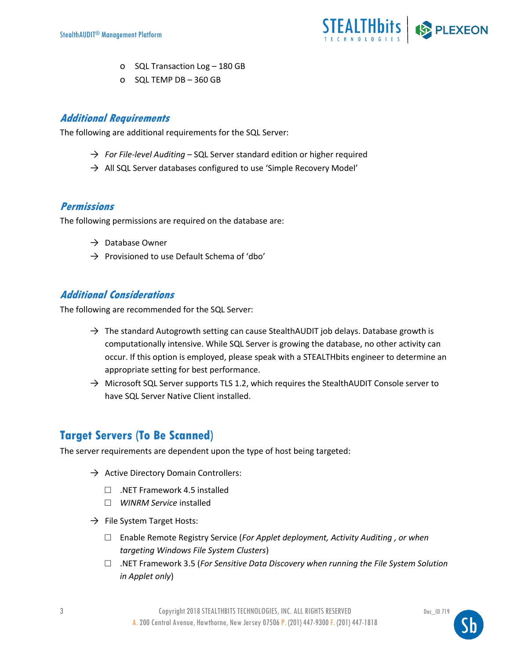

- o SQL Transaction Log 180 GB
- o SQL TEMP DB 360 GB

#### **Additional Requirements**

The following are additional requirements for the SQL Server:

- → *For File-level Auditing* SQL Server standard edition or higher required
- $\rightarrow$  All SQL Server databases configured to use 'Simple Recovery Model'

#### **Permissions**

The following permissions are required on the database are:

- $\rightarrow$  Database Owner
- $\rightarrow$  Provisioned to use Default Schema of 'dbo'

#### **Additional Considerations**

The following are recommended for the SQL Server:

- $\rightarrow$  The standard Autogrowth setting can cause StealthAUDIT job delays. Database growth is computationally intensive. While SQL Server is growing the database, no other activity can occur. If this option is employed, please speak with a STEALTHbits engineer to determine an appropriate setting for best performance.
- $\rightarrow$  Microsoft SQL Server supports TLS 1.2, which requires the StealthAUDIT Console server to have SQL Server Native Client installed.

### <span id="page-2-0"></span>**Target Servers (To Be Scanned)**

The server requirements are dependent upon the type of host being targeted:

- $\rightarrow$  Active Directory Domain Controllers:
	- $\Box$  .NET Framework 4.5 installed
	- □ *WINRM Service* installed
- $\rightarrow$  File System Target Hosts:
	- □ Enable Remote Registry Service (*For Applet deployment, Activity Auditing , or when targeting Windows File System Clusters*)
	- □ .NET Framework 3.5 (*For Sensitive Data Discovery when running the File System Solution in Applet only*)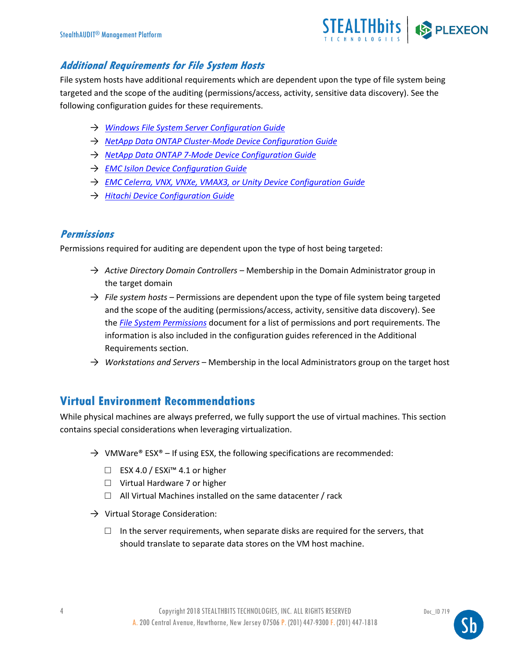

#### **Additional Requirements for File System Hosts**

File system hosts have additional requirements which are dependent upon the type of file system being targeted and the scope of the auditing (permissions/access, activity, sensitive data discovery). See the following configuration guides for these requirements.

- → *[Windows File System Server Configuration Guide](https://www.stealthbits.com/jdownloads/Documentation%20User%20Guides%20PDF/STEALTHbits_SMP_FS_WindowsConfiguration_Guide.pdf)*
- → *[NetApp Data ONTAP Cluster-Mode Device Configuration Guide](https://www.stealthbits.com/jdownloads/Documentation%20User%20Guides%20PDF/STEALTHbits_SMP_FS_NetAppC-Mode_ConfigGuide.pdf)*
- → *[NetApp Data ONTAP 7-Mode Device Configuration Guide](https://www.stealthbits.com/jdownloads/Documentation%20User%20Guides%20PDF/STEALTHbits_SMP_FS_NetApp7-Mode_ConfigGuide.pdf)*
- → *[EMC Isilon Device Configuration Guide](https://www.stealthbits.com/jdownloads/Documentation%20User%20Guides%20PDF/STEALTHbits_SMP_FS_EMC-Isilon_ConfigGuide.pdf)*
- → *[EMC Celerra, VNX, VNXe, VMAX3, or Unity Device Configuration Guide](https://www.stealthbits.com/jdownloads/Documentation%20User%20Guides%20PDF/STEALTHbits_SMP_FS_EMC-Celerra_ConfigGuide.pdf)*
- → *[Hitachi Device Configuration Guide](https://www.stealthbits.com/jdownloads/Documentation%20User%20Guides%20PDF/STEALTHbits_SMP_FS_Hitachi_ConfigGuide.pdf)*

#### **Permissions**

Permissions required for auditing are dependent upon the type of host being targeted:

- → *Active Directory Domain Controllers* Membership in the Domain Administrator group in the target domain
- → *File system hosts* Permissions are dependent upon the type of file system being targeted and the scope of the auditing (permissions/access, activity, sensitive data discovery). See the *[File System Permissions](https://www.stealthbits.com/jdownloads/Documentation%20User%20Guides%20PDF/STEALTHbits_SMP_FileSystem_Permissions.pdf)* document for a list of permissions and port requirements. The information is also included in the configuration guides referenced in the Additional Requirements section.
- $\rightarrow$  *Workstations and Servers* Membership in the local Administrators group on the target host

#### **Virtual Environment Recommendations**

While physical machines are always preferred, we fully support the use of virtual machines. This section contains special considerations when leveraging virtualization.

- $\rightarrow$  VMWare® ESX® If using ESX, the following specifications are recommended:
	- □ ESX 4.0 / ESXi<sup>™</sup> 4.1 or higher
	- $\Box$  Virtual Hardware 7 or higher
	- $\Box$  All Virtual Machines installed on the same datacenter / rack
- $\rightarrow$  Virtual Storage Consideration:
	- $\square$  In the server requirements, when separate disks are required for the servers, that should translate to separate data stores on the VM host machine.

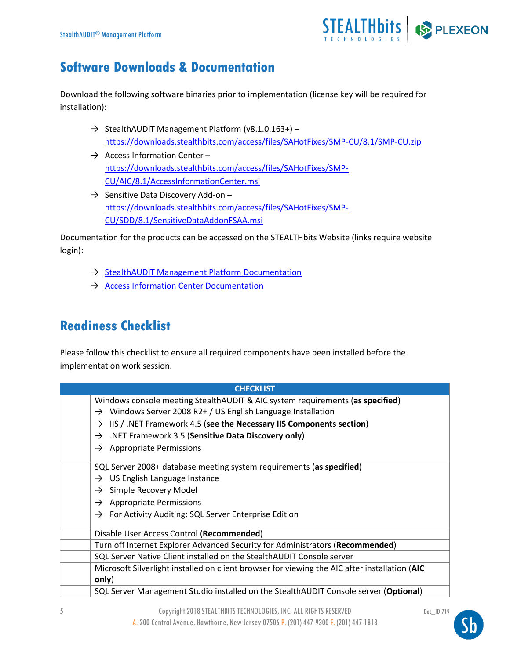

# **Software Downloads & Documentation**

Download the following software binaries prior to implementation (license key will be required for installation):

- $\rightarrow$  StealthAUDIT Management Platform (v8.1.0.163+) <https://downloads.stealthbits.com/access/files/SAHotFixes/SMP-CU/8.1/SMP-CU.zip>
- $\rightarrow$  Access Information Center [https://downloads.stealthbits.com/access/files/SAHotFixes/SMP-](https://downloads.stealthbits.com/access/files/SAHotFixes/SMP-CU/AIC/8.1/AccessInformationCenter.msi)[CU/AIC/8.1/AccessInformationCenter.msi](https://downloads.stealthbits.com/access/files/SAHotFixes/SMP-CU/AIC/8.1/AccessInformationCenter.msi)
- $\rightarrow$  Sensitive Data Discovery Add-on [https://downloads.stealthbits.com/access/files/SAHotFixes/SMP-](https://downloads.stealthbits.com/access/files/SAHotFixes/SMP-CU/SDD/8.1/SensitiveDataAddonFSAA.msi)[CU/SDD/8.1/SensitiveDataAddonFSAA.msi](https://downloads.stealthbits.com/access/files/SAHotFixes/SMP-CU/SDD/8.1/SensitiveDataAddonFSAA.msi)

Documentation for the products can be accessed on the STEALTHbits Website (links require website login):

- → [StealthAUDIT Management Platform Documentation](https://www.stealthbits.com/stealthaudit-user-guide)
- → [Access Information Center Documentation](https://www.stealthbits.com/aic-user-guide)

# **Readiness Checklist**

Please follow this checklist to ensure all required components have been installed before the implementation work session.

| <b>CHECKLIST</b>                                                                              |  |  |  |  |
|-----------------------------------------------------------------------------------------------|--|--|--|--|
| Windows console meeting StealthAUDIT & AIC system requirements (as specified)                 |  |  |  |  |
| $\rightarrow$ Windows Server 2008 R2+ / US English Language Installation                      |  |  |  |  |
| IIS / .NET Framework 4.5 (see the Necessary IIS Components section)<br>$\rightarrow$          |  |  |  |  |
| .NET Framework 3.5 (Sensitive Data Discovery only)<br>$\rightarrow$                           |  |  |  |  |
| $\rightarrow$ Appropriate Permissions                                                         |  |  |  |  |
| SQL Server 2008+ database meeting system requirements (as specified)                          |  |  |  |  |
| $\rightarrow$ US English Language Instance                                                    |  |  |  |  |
| $\rightarrow$ Simple Recovery Model                                                           |  |  |  |  |
| $\rightarrow$ Appropriate Permissions                                                         |  |  |  |  |
| $\rightarrow$ For Activity Auditing: SQL Server Enterprise Edition                            |  |  |  |  |
| Disable User Access Control (Recommended)                                                     |  |  |  |  |
| Turn off Internet Explorer Advanced Security for Administrators (Recommended)                 |  |  |  |  |
| SQL Server Native Client installed on the StealthAUDIT Console server                         |  |  |  |  |
| Microsoft Silverlight installed on client browser for viewing the AIC after installation (AIC |  |  |  |  |
| only)                                                                                         |  |  |  |  |
| SQL Server Management Studio installed on the StealthAUDIT Console server (Optional)          |  |  |  |  |

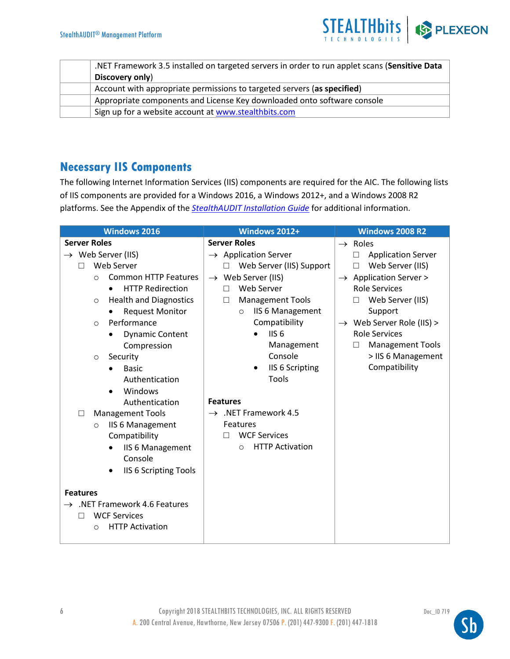

| .NET Framework 3.5 installed on targeted servers in order to run applet scans (Sensitive Data |  |  |
|-----------------------------------------------------------------------------------------------|--|--|
| Discovery only)                                                                               |  |  |
| Account with appropriate permissions to targeted servers (as specified)                       |  |  |
| Appropriate components and License Key downloaded onto software console                       |  |  |
| Sign up for a website account at www.stealthbits.com                                          |  |  |

### <span id="page-5-0"></span>**Necessary IIS Components**

The following Internet Information Services (IIS) components are required for the AIC. The following lists of IIS components are provided for a Windows 2016, a Windows 2012+, and a Windows 2008 R2 platforms. See the Appendix of the *[StealthAUDIT Installation Guide](https://www.stealthbits.com/stealthaudit-user-guide)* for additional information.

| <b>Windows 2016</b>                          | Windows 2012+                       | <b>Windows 2008 R2</b>                |
|----------------------------------------------|-------------------------------------|---------------------------------------|
| <b>Server Roles</b>                          | <b>Server Roles</b>                 | $\rightarrow$ Roles                   |
| $\rightarrow$ Web Server (IIS)               | $\rightarrow$ Application Server    | <b>Application Server</b><br>П        |
| Web Server<br>П                              | Web Server (IIS) Support<br>П       | Web Server (IIS)<br>$\Box$            |
| <b>Common HTTP Features</b><br>$\Omega$      | $\rightarrow$ Web Server (IIS)      | $\rightarrow$ Application Server >    |
| <b>HTTP Redirection</b><br>$\bullet$         | Web Server<br>$\Box$                | <b>Role Services</b>                  |
| <b>Health and Diagnostics</b><br>$\circ$     | <b>Management Tools</b><br>$\Box$   | Web Server (IIS)<br>$\Box$            |
| <b>Request Monitor</b>                       | <b>IIS 6 Management</b><br>$\Omega$ | Support                               |
| Performance<br>$\circ$                       | Compatibility                       | $\rightarrow$ Web Server Role (IIS) > |
| <b>Dynamic Content</b><br>$\bullet$          | IIS <sub>6</sub>                    | <b>Role Services</b>                  |
| Compression                                  | Management                          | <b>Management Tools</b><br>$\Box$     |
| Security<br>$\circ$                          | Console                             | > IIS 6 Management                    |
| <b>Basic</b>                                 | <b>IIS 6 Scripting</b><br>$\bullet$ | Compatibility                         |
| Authentication                               | Tools                               |                                       |
| Windows                                      |                                     |                                       |
| Authentication                               | <b>Features</b>                     |                                       |
| <b>Management Tools</b><br>$\Box$            | $\rightarrow$ .NET Framework 4.5    |                                       |
| <b>IIS 6 Management</b><br>$\circ$           | Features                            |                                       |
| Compatibility                                | <b>WCF Services</b><br>П            |                                       |
| <b>IIS 6 Management</b>                      | <b>HTTP Activation</b><br>$\circ$   |                                       |
| Console                                      |                                     |                                       |
| <b>IIS 6 Scripting Tools</b>                 |                                     |                                       |
|                                              |                                     |                                       |
| <b>Features</b>                              |                                     |                                       |
| NET Framework 4.6 Features.<br>$\rightarrow$ |                                     |                                       |
| <b>WCF Services</b><br>П                     |                                     |                                       |
| <b>HTTP Activation</b><br>$\circ$            |                                     |                                       |
|                                              |                                     |                                       |